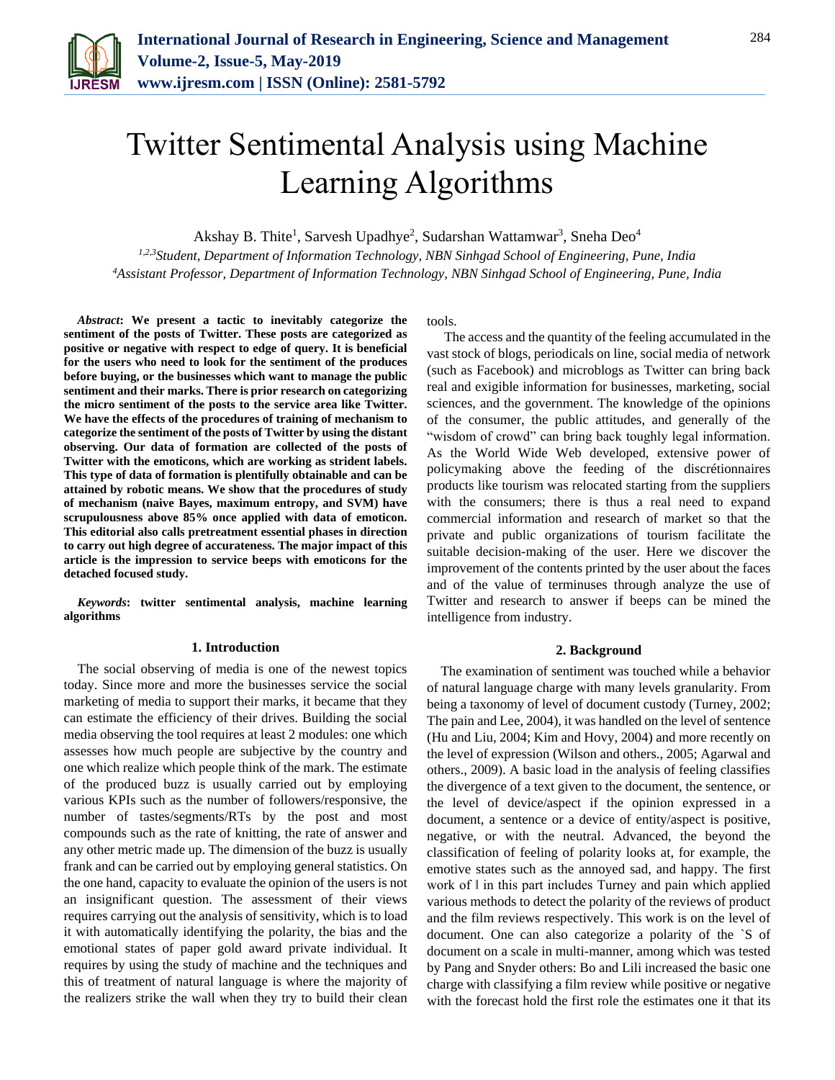

# Twitter Sentimental Analysis using Machine Learning Algorithms

Akshay B. Thite<sup>1</sup>, Sarvesh Upadhye<sup>2</sup>, Sudarshan Wattamwar<sup>3</sup>, Sneha Deo<sup>4</sup>

*1,2,3Student, Department of Information Technology, NBN Sinhgad School of Engineering, Pune, India <sup>4</sup>Assistant Professor, Department of Information Technology, NBN Sinhgad School of Engineering, Pune, India*

*Abstract***: We present a tactic to inevitably categorize the sentiment of the posts of Twitter. These posts are categorized as positive or negative with respect to edge of query. It is beneficial for the users who need to look for the sentiment of the produces before buying, or the businesses which want to manage the public sentiment and their marks. There is prior research on categorizing the micro sentiment of the posts to the service area like Twitter. We have the effects of the procedures of training of mechanism to categorize the sentiment of the posts of Twitter by using the distant observing. Our data of formation are collected of the posts of Twitter with the emoticons, which are working as strident labels. This type of data of formation is plentifully obtainable and can be attained by robotic means. We show that the procedures of study of mechanism (naive Bayes, maximum entropy, and SVM) have scrupulousness above 85% once applied with data of emoticon. This editorial also calls pretreatment essential phases in direction to carry out high degree of accurateness. The major impact of this article is the impression to service beeps with emoticons for the detached focused study.**

*Keywords***: twitter sentimental analysis, machine learning algorithms**

## **1. Introduction**

The social observing of media is one of the newest topics today. Since more and more the businesses service the social marketing of media to support their marks, it became that they can estimate the efficiency of their drives. Building the social media observing the tool requires at least 2 modules: one which assesses how much people are subjective by the country and one which realize which people think of the mark. The estimate of the produced buzz is usually carried out by employing various KPIs such as the number of followers/responsive, the number of tastes/segments/RTs by the post and most compounds such as the rate of knitting, the rate of answer and any other metric made up. The dimension of the buzz is usually frank and can be carried out by employing general statistics. On the one hand, capacity to evaluate the opinion of the users is not an insignificant question. The assessment of their views requires carrying out the analysis of sensitivity, which is to load it with automatically identifying the polarity, the bias and the emotional states of paper gold award private individual. It requires by using the study of machine and the techniques and this of treatment of natural language is where the majority of the realizers strike the wall when they try to build their clean

tools.

The access and the quantity of the feeling accumulated in the vast stock of blogs, periodicals on line, social media of network (such as Facebook) and microblogs as Twitter can bring back real and exigible information for businesses, marketing, social sciences, and the government. The knowledge of the opinions of the consumer, the public attitudes, and generally of the "wisdom of crowd" can bring back toughly legal information. As the World Wide Web developed, extensive power of policymaking above the feeding of the discrétionnaires products like tourism was relocated starting from the suppliers with the consumers; there is thus a real need to expand commercial information and research of market so that the private and public organizations of tourism facilitate the suitable decision-making of the user. Here we discover the improvement of the contents printed by the user about the faces and of the value of terminuses through analyze the use of Twitter and research to answer if beeps can be mined the intelligence from industry.

## **2. Background**

The examination of sentiment was touched while a behavior of natural language charge with many levels granularity. From being a taxonomy of level of document custody (Turney, 2002; The pain and Lee, 2004), it was handled on the level of sentence (Hu and Liu, 2004; Kim and Hovy, 2004) and more recently on the level of expression (Wilson and others., 2005; Agarwal and others., 2009). A basic load in the analysis of feeling classifies the divergence of a text given to the document, the sentence, or the level of device/aspect if the opinion expressed in a document, a sentence or a device of entity/aspect is positive, negative, or with the neutral. Advanced, the beyond the classification of feeling of polarity looks at, for example, the emotive states such as the annoyed sad, and happy. The first work of ‖ in this part includes Turney and pain which applied various methods to detect the polarity of the reviews of product and the film reviews respectively. This work is on the level of document. One can also categorize a polarity of the `S of document on a scale in multi-manner, among which was tested by Pang and Snyder others: Bo and Lili increased the basic one charge with classifying a film review while positive or negative with the forecast hold the first role the estimates one it that its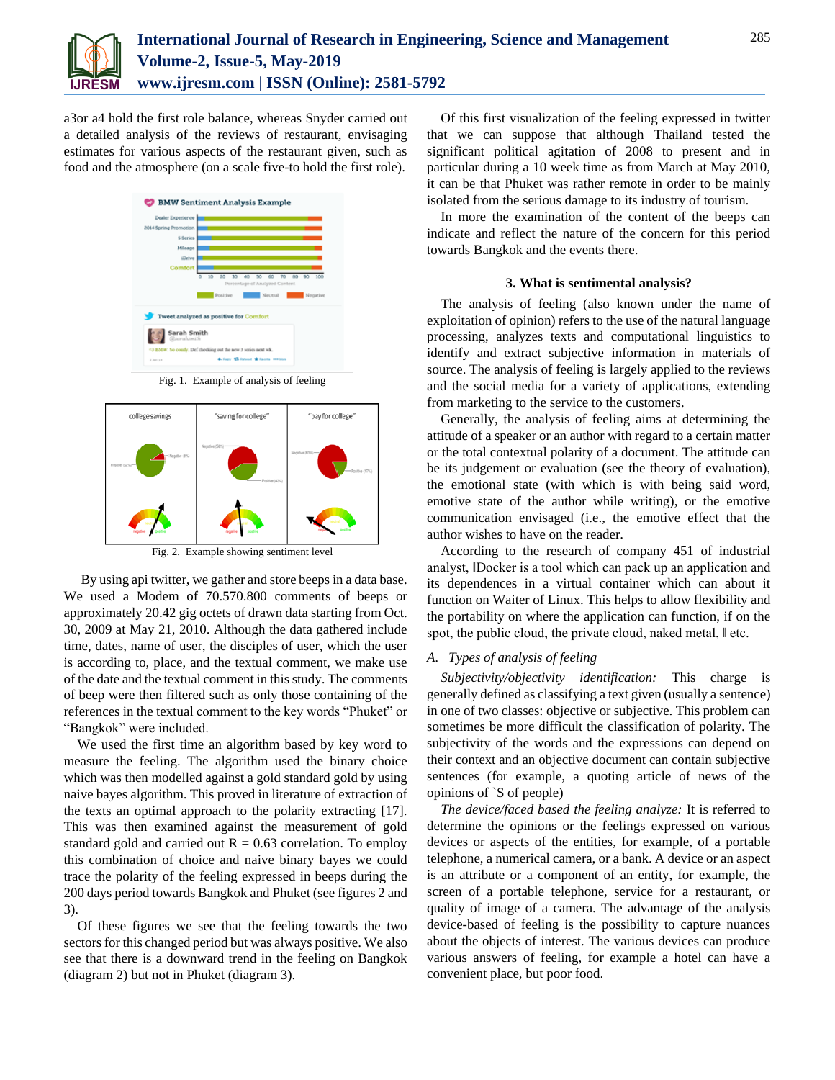

a3or a4 hold the first role balance, whereas Snyder carried out a detailed analysis of the reviews of restaurant, envisaging estimates for various aspects of the restaurant given, such as food and the atmosphere (on a scale five-to hold the first role).



Fig. 1. Example of analysis of feeling



Fig. 2. Example showing sentiment level

By using api twitter, we gather and store beeps in a data base. We used a Modem of 70.570.800 comments of beeps or approximately 20.42 gig octets of drawn data starting from Oct. 30, 2009 at May 21, 2010. Although the data gathered include time, dates, name of user, the disciples of user, which the user is according to, place, and the textual comment, we make use of the date and the textual comment in this study. The comments of beep were then filtered such as only those containing of the references in the textual comment to the key words "Phuket" or "Bangkok" were included.

We used the first time an algorithm based by key word to measure the feeling. The algorithm used the binary choice which was then modelled against a gold standard gold by using naive bayes algorithm. This proved in literature of extraction of the texts an optimal approach to the polarity extracting [17]. This was then examined against the measurement of gold standard gold and carried out  $R = 0.63$  correlation. To employ this combination of choice and naive binary bayes we could trace the polarity of the feeling expressed in beeps during the 200 days period towards Bangkok and Phuket (see figures 2 and 3).

Of these figures we see that the feeling towards the two sectors for this changed period but was always positive. We also see that there is a downward trend in the feeling on Bangkok (diagram 2) but not in Phuket (diagram 3).

Of this first visualization of the feeling expressed in twitter that we can suppose that although Thailand tested the significant political agitation of 2008 to present and in particular during a 10 week time as from March at May 2010, it can be that Phuket was rather remote in order to be mainly isolated from the serious damage to its industry of tourism.

In more the examination of the content of the beeps can indicate and reflect the nature of the concern for this period towards Bangkok and the events there.

## **3. What is sentimental analysis?**

The analysis of feeling (also known under the name of exploitation of opinion) refers to the use of the natural language processing, analyzes texts and computational linguistics to identify and extract subjective information in materials of source. The analysis of feeling is largely applied to the reviews and the social media for a variety of applications, extending from marketing to the service to the customers.

Generally, the analysis of feeling aims at determining the attitude of a speaker or an author with regard to a certain matter or the total contextual polarity of a document. The attitude can be its judgement or evaluation (see the theory of evaluation), the emotional state (with which is with being said word, emotive state of the author while writing), or the emotive communication envisaged (i.e., the emotive effect that the author wishes to have on the reader.

According to the research of company 451 of industrial analyst, ‖Docker is a tool which can pack up an application and its dependences in a virtual container which can about it function on Waiter of Linux. This helps to allow flexibility and the portability on where the application can function, if on the spot, the public cloud, the private cloud, naked metal,  $\parallel$  etc.

## *A. Types of analysis of feeling*

*Subjectivity/objectivity identification:* This charge is generally defined as classifying a text given (usually a sentence) in one of two classes: objective or subjective. This problem can sometimes be more difficult the classification of polarity. The subjectivity of the words and the expressions can depend on their context and an objective document can contain subjective sentences (for example, a quoting article of news of the opinions of `S of people)

*The device/faced based the feeling analyze:* It is referred to determine the opinions or the feelings expressed on various devices or aspects of the entities, for example, of a portable telephone, a numerical camera, or a bank. A device or an aspect is an attribute or a component of an entity, for example, the screen of a portable telephone, service for a restaurant, or quality of image of a camera. The advantage of the analysis device-based of feeling is the possibility to capture nuances about the objects of interest. The various devices can produce various answers of feeling, for example a hotel can have a convenient place, but poor food.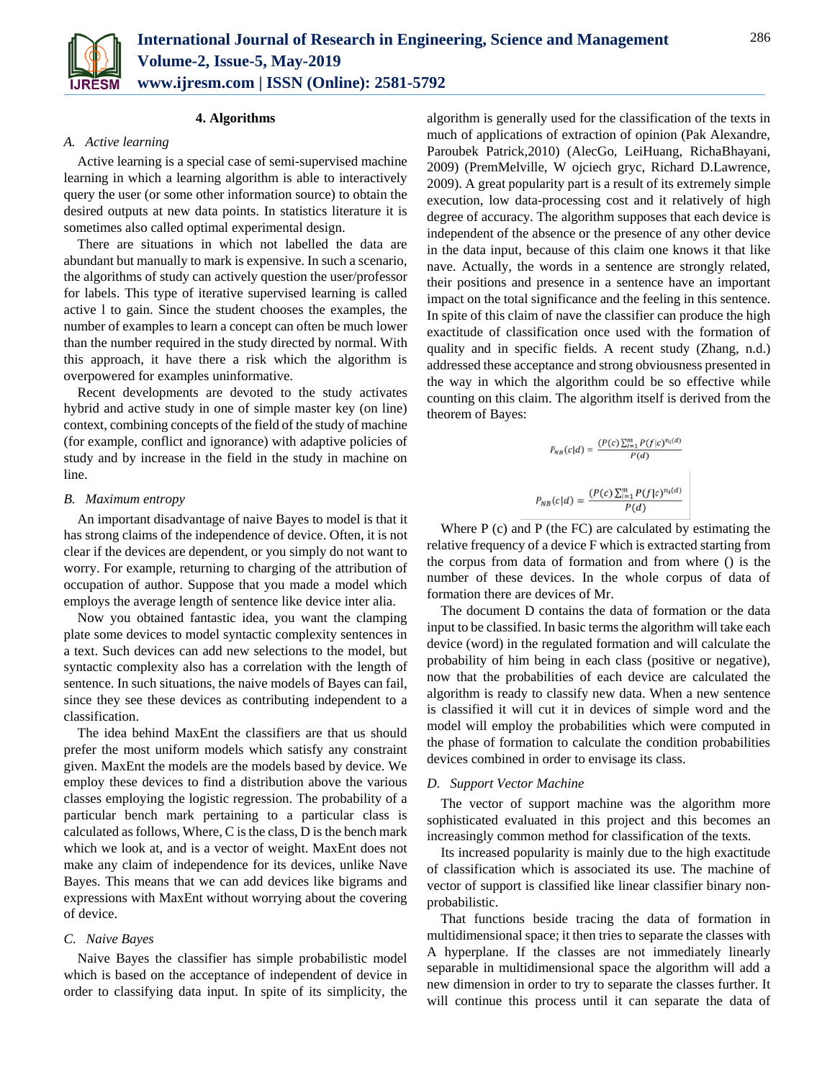

## **4. Algorithms**

## *A. Active learning*

Active learning is a special case of semi-supervised machine learning in which a learning algorithm is able to interactively query the user (or some other information source) to obtain the desired outputs at new data points. In statistics literature it is sometimes also called optimal experimental design.

There are situations in which not labelled the data are abundant but manually to mark is expensive. In such a scenario, the algorithms of study can actively question the user/professor for labels. This type of iterative supervised learning is called active l to gain. Since the student chooses the examples, the number of examples to learn a concept can often be much lower than the number required in the study directed by normal. With this approach, it have there a risk which the algorithm is overpowered for examples uninformative.

Recent developments are devoted to the study activates hybrid and active study in one of simple master key (on line) context, combining concepts of the field of the study of machine (for example, conflict and ignorance) with adaptive policies of study and by increase in the field in the study in machine on line.

## *B. Maximum entropy*

An important disadvantage of naive Bayes to model is that it has strong claims of the independence of device. Often, it is not clear if the devices are dependent, or you simply do not want to worry. For example, returning to charging of the attribution of occupation of author. Suppose that you made a model which employs the average length of sentence like device inter alia.

Now you obtained fantastic idea, you want the clamping plate some devices to model syntactic complexity sentences in a text. Such devices can add new selections to the model, but syntactic complexity also has a correlation with the length of sentence. In such situations, the naive models of Bayes can fail, since they see these devices as contributing independent to a classification.

The idea behind MaxEnt the classifiers are that us should prefer the most uniform models which satisfy any constraint given. MaxEnt the models are the models based by device. We employ these devices to find a distribution above the various classes employing the logistic regression. The probability of a particular bench mark pertaining to a particular class is calculated as follows, Where, C is the class, D is the bench mark which we look at, and is a vector of weight. MaxEnt does not make any claim of independence for its devices, unlike Nave Bayes. This means that we can add devices like bigrams and expressions with MaxEnt without worrying about the covering of device.

## *C. Naive Bayes*

Naive Bayes the classifier has simple probabilistic model which is based on the acceptance of independent of device in order to classifying data input. In spite of its simplicity, the algorithm is generally used for the classification of the texts in much of applications of extraction of opinion (Pak Alexandre, Paroubek Patrick,2010) (AlecGo, LeiHuang, RichaBhayani, 2009) (PremMelville, W ojciech gryc, Richard D.Lawrence, 2009). A great popularity part is a result of its extremely simple execution, low data-processing cost and it relatively of high degree of accuracy. The algorithm supposes that each device is independent of the absence or the presence of any other device in the data input, because of this claim one knows it that like nave. Actually, the words in a sentence are strongly related, their positions and presence in a sentence have an important impact on the total significance and the feeling in this sentence. In spite of this claim of nave the classifier can produce the high exactitude of classification once used with the formation of quality and in specific fields. A recent study (Zhang, n.d.) addressed these acceptance and strong obviousness presented in the way in which the algorithm could be so effective while counting on this claim. The algorithm itself is derived from the theorem of Bayes:

$$
P_{NB}(c|d) = \frac{(P(c)\sum_{i=1}^{m} P(f|c)^{n_i(d)}}{P(d)}
$$
  

$$
P_{NB}(c|d) = \frac{(P(c)\sum_{i=1}^{m} P(f|c)^{n_i(d)}}{P(d)}
$$

Where P (c) and P (the FC) are calculated by estimating the relative frequency of a device F which is extracted starting from the corpus from data of formation and from where () is the number of these devices. In the whole corpus of data of formation there are devices of Mr.

The document D contains the data of formation or the data input to be classified. In basic terms the algorithm will take each device (word) in the regulated formation and will calculate the probability of him being in each class (positive or negative), now that the probabilities of each device are calculated the algorithm is ready to classify new data. When a new sentence is classified it will cut it in devices of simple word and the model will employ the probabilities which were computed in the phase of formation to calculate the condition probabilities devices combined in order to envisage its class.

## *D. Support Vector Machine*

The vector of support machine was the algorithm more sophisticated evaluated in this project and this becomes an increasingly common method for classification of the texts.

Its increased popularity is mainly due to the high exactitude of classification which is associated its use. The machine of vector of support is classified like linear classifier binary nonprobabilistic.

That functions beside tracing the data of formation in multidimensional space; it then tries to separate the classes with A hyperplane. If the classes are not immediately linearly separable in multidimensional space the algorithm will add a new dimension in order to try to separate the classes further. It will continue this process until it can separate the data of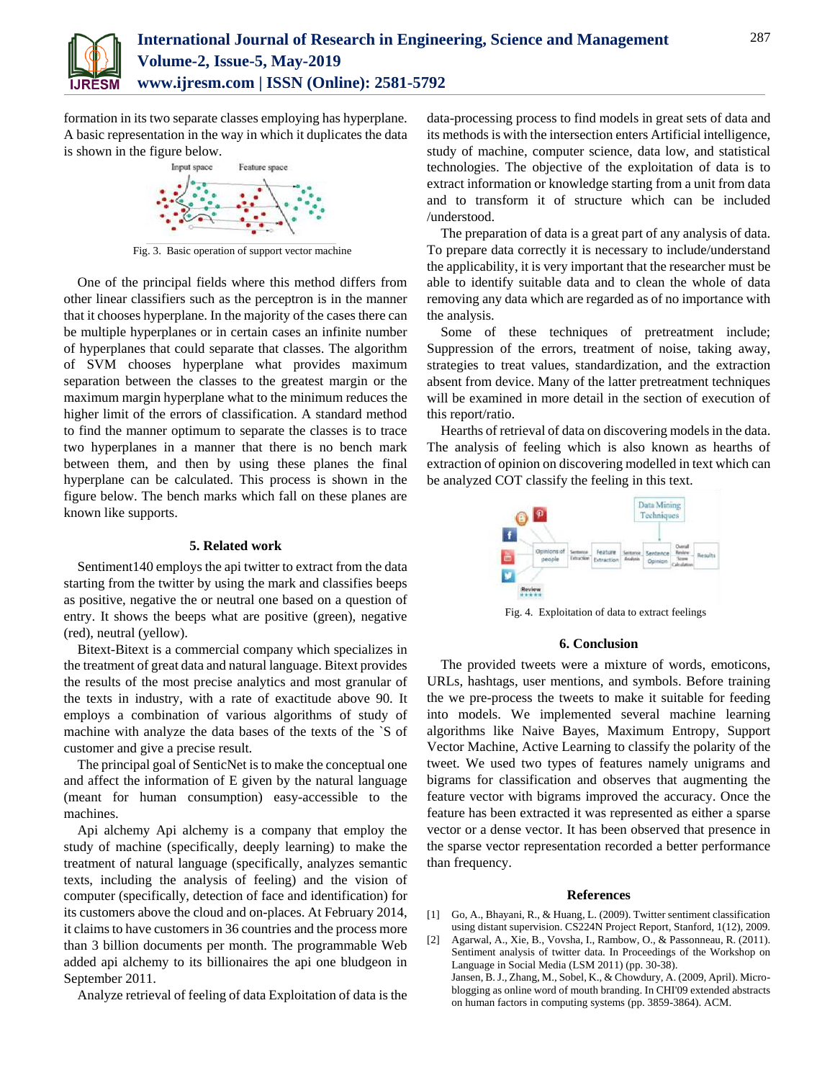

formation in its two separate classes employing has hyperplane. A basic representation in the way in which it duplicates the data is shown in the figure below.



Fig. 3. Basic operation of support vector machine

One of the principal fields where this method differs from other linear classifiers such as the perceptron is in the manner that it chooses hyperplane. In the majority of the cases there can be multiple hyperplanes or in certain cases an infinite number of hyperplanes that could separate that classes. The algorithm of SVM chooses hyperplane what provides maximum separation between the classes to the greatest margin or the maximum margin hyperplane what to the minimum reduces the higher limit of the errors of classification. A standard method to find the manner optimum to separate the classes is to trace two hyperplanes in a manner that there is no bench mark between them, and then by using these planes the final hyperplane can be calculated. This process is shown in the figure below. The bench marks which fall on these planes are known like supports.

## **5. Related work**

Sentiment140 employs the api twitter to extract from the data starting from the twitter by using the mark and classifies beeps as positive, negative the or neutral one based on a question of entry. It shows the beeps what are positive (green), negative (red), neutral (yellow).

Bitext-Bitext is a commercial company which specializes in the treatment of great data and natural language. Bitext provides the results of the most precise analytics and most granular of the texts in industry, with a rate of exactitude above 90. It employs a combination of various algorithms of study of machine with analyze the data bases of the texts of the `S of customer and give a precise result.

The principal goal of SenticNet is to make the conceptual one and affect the information of E given by the natural language (meant for human consumption) easy-accessible to the machines.

Api alchemy Api alchemy is a company that employ the study of machine (specifically, deeply learning) to make the treatment of natural language (specifically, analyzes semantic texts, including the analysis of feeling) and the vision of computer (specifically, detection of face and identification) for its customers above the cloud and on-places. At February 2014, it claims to have customers in 36 countries and the process more than 3 billion documents per month. The programmable Web added api alchemy to its billionaires the api one bludgeon in September 2011.

Analyze retrieval of feeling of data Exploitation of data is the

data-processing process to find models in great sets of data and its methods is with the intersection enters Artificial intelligence, study of machine, computer science, data low, and statistical technologies. The objective of the exploitation of data is to extract information or knowledge starting from a unit from data and to transform it of structure which can be included /understood.

The preparation of data is a great part of any analysis of data. To prepare data correctly it is necessary to include/understand the applicability, it is very important that the researcher must be able to identify suitable data and to clean the whole of data removing any data which are regarded as of no importance with the analysis.

Some of these techniques of pretreatment include; Suppression of the errors, treatment of noise, taking away, strategies to treat values, standardization, and the extraction absent from device. Many of the latter pretreatment techniques will be examined in more detail in the section of execution of this report/ratio.

Hearths of retrieval of data on discovering models in the data. The analysis of feeling which is also known as hearths of extraction of opinion on discovering modelled in text which can be analyzed COT classify the feeling in this text.



Fig. 4. Exploitation of data to extract feelings

## **6. Conclusion**

The provided tweets were a mixture of words, emoticons, URLs, hashtags, user mentions, and symbols. Before training the we pre-process the tweets to make it suitable for feeding into models. We implemented several machine learning algorithms like Naive Bayes, Maximum Entropy, Support Vector Machine, Active Learning to classify the polarity of the tweet. We used two types of features namely unigrams and bigrams for classification and observes that augmenting the feature vector with bigrams improved the accuracy. Once the feature has been extracted it was represented as either a sparse vector or a dense vector. It has been observed that presence in the sparse vector representation recorded a better performance than frequency.

#### **References**

- [1] Go, A., Bhayani, R., & Huang, L. (2009). Twitter sentiment classification using distant supervision. CS224N Project Report, Stanford, 1(12), 2009.
- [2] Agarwal, A., Xie, B., Vovsha, I., Rambow, O., & Passonneau, R. (2011). Sentiment analysis of twitter data. In Proceedings of the Workshop on Language in Social Media (LSM 2011) (pp. 30-38). Jansen, B. J., Zhang, M., Sobel, K., & Chowdury, A. (2009, April). Microblogging as online word of mouth branding. In CHI'09 extended abstracts on human factors in computing systems (pp. 3859-3864). ACM.